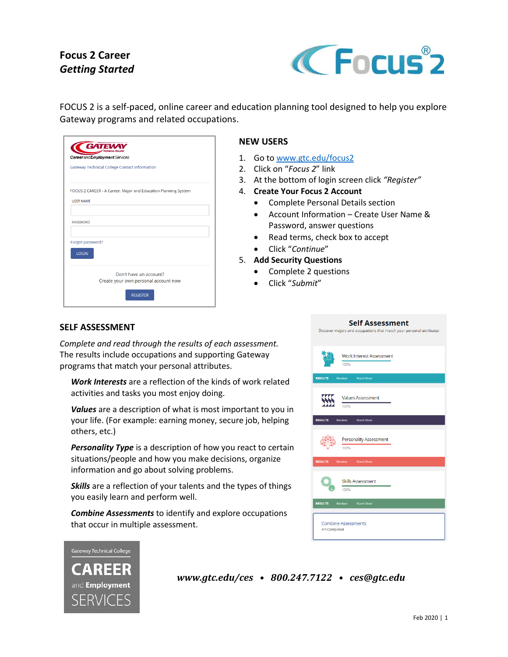# **Focus 2 Career** *Getting Started*



FOCUS 2 is a self-paced, online career and education planning tool designed to help you explore Gateway programs and related occupations.

|                  | <b>Gateway Technical College Contact Information</b>           |  |
|------------------|----------------------------------------------------------------|--|
|                  | FOCUS 2 CAREER - A Career, Major and Education Planning System |  |
| <b>USER NAME</b> |                                                                |  |
|                  |                                                                |  |
| <b>PASSWORD</b>  |                                                                |  |
| Forgot password? |                                                                |  |
| <b>LOGIN</b>     |                                                                |  |
|                  |                                                                |  |
|                  | Don't have an account?                                         |  |

# **NEW USERS**

- 1. Go to [www.gtc.edu/focus2](http://www.gtc.edu/focus2)
- 2. Click on "*Focus 2*" link
- 3. At the bottom of login screen click *"Register"*
- 4. **Create Your Focus 2 Account**
	- Complete Personal Details section
	- Account Information Create User Name & Password, answer questions
	- Read terms, check box to accept
	- Click "*Continue*"
- 5. **Add Security Questions**
	- Complete 2 questions
	- Click "*Submit*"

### **SELF ASSESSMENT**

*Complete and read through the results of each assessment.*  The results include occupations and supporting Gateway programs that match your personal attributes.

*Work Interests* are a reflection of the kinds of work related activities and tasks you most enjoy doing.

*Values* are a description of what is most important to you in your life. (For example: earning money, secure job, helping others, etc.)

**Personality Type** is a description of how you react to certain situations/people and how you make decisions, organize information and go about solving problems.

*Skills* are a reflection of your talents and the types of things you easily learn and perform well.

*Combine Assessments* to identify and explore occupations that occur in multiple assessment.





*www.gtc.edu/ces • 800.247.7122 • ces@gtc.edu*